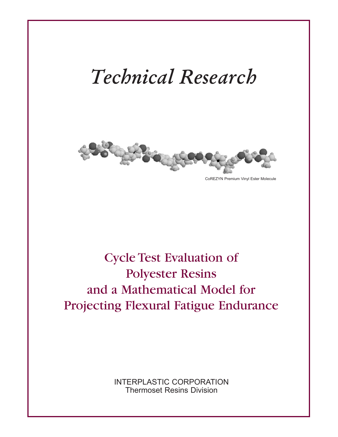# *Technical Research*



CoREZYN Premium Vinyl Ester Molecule

# Cycle Test Evaluation of Polyester Resins and a Mathematical Model for Projecting Flexural Fatigue Endurance

INTERPLASTIC CORPORATION Thermoset Resins Division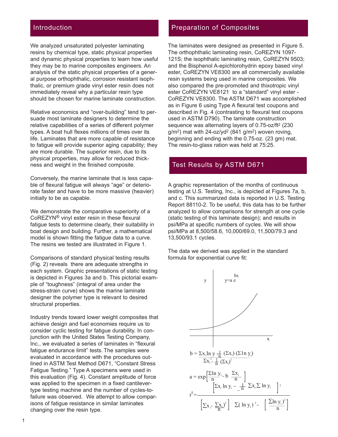# Introduction

We analyzed unsaturated polyester laminating resins by chemical type, static physical properties and dynamic physical properties to learn how useful they may be to marine composites engineers. An analysis of the static physical properties of a general purpose orthophthalic, corrosion resistant isophthalic, or premium grade vinyl ester resin does not immediately reveal why a particular resin type should be chosen for marine laminate construction.

Relative economics and "over-building" tend to persuade most laminate designers to determine the relative capabilities of a series of different polymer types. A boat hull flexes millions of times over its life. Laminates that are more capable of resistance to fatigue will provide superior aging capability; they are more durable. The superior resin, due to its physical properties, may allow for reduced thickness and weight in the finished composite.

Conversely, the marine laminate that is less capable of flexural fatigue will always "age" or deteriorate faster and have to be more massive (heavier) initially to be as capable.

We demonstrate the comparative superiority of a CoREZYN® vinyl ester resin in these flexural fatigue tests to determine clearly, their suitability in boat design and building. Further, a mathematical model is shown fitting the fatigue data to a curve. The resins we tested are illustrated in Figure 1.

Comparisons of standard physical testing results (Fig. 2) reveals there are adequate strengths in each system. Graphic presentations of static testing is depicted in Figures 3a and b. This pictorial example of "toughness" (integral of area under the stress-strain curve) shows the marine laminate designer the polymer type is relevant to desired structural properties.

Industry trends toward lower weight composites that achieve design and fuel economies require us to consider cyclic testing for fatigue durability. In conjunction with the United States Testing Company, Inc., we evaluated a series of laminates in "flexural fatigue endurance limit" tests. The samples were evaluated in accordance with the procedures outlined in ASTM Test Method D671, "Constant Stress Fatigue Testing." Type A specimens were used in this evaluation (Fig. 4). Constant amplitude of force was applied to the specimen in a fixed cantilevertype testing machine and the number of cycles-tofailure was observed. We attempt to allow comparisons of fatigue resistance in similar laminates changing over the resin type.

## Preparation of Composites

The laminates were designed as presented in Figure 5. The orthophthalic laminating resin, CoREZYN 1097- 121S; the isophthalic laminating resin, CoREZYN 9503; and the Bisphenol A-epichlorohydrin epoxy based vinyl ester, CoREZYN VE8300 are all commercially available resin systems being used in marine composites. We also compared the pre-promoted and thixotropic vinyl ester CoREZYN VE8121 to a "standard" vinyl ester - CoREZYN VE8300. The ASTM D671 was accomplished as in Figure 6 using Type A flexural test coupons and described in Fig. 4 (contrasting to flexural test coupons used in ASTM D790). The laminate construction sequence was alternating layers of 0.75-oz/ft2 (230  $q/m^2$ ) mat with 24-oz/yd<sup>2</sup> (841  $q/m^2$ ) woven roving, beginning and ending with the 0.75-oz. (23 gm) mat. The resin-to-glass ration was held at 75:25.

## Test Results by ASTM D671

A graphic representation of the months of continuous testing at U.S. Testing, Inc., is depicted at Figures 7a, b, and c. This summarized data is reported in U.S. Testing Report 88110-2. To be useful, this data has to be further analyzed to allow comparisons for strength at one cycle (static testing of this laminate design); and results in psi/MPa at specific numbers of cycles. We will show psi/MPa at 8,500/58.6, 10,000/69.0, 11,500/79.3 and 13,500/93.1 cycles.

The data we derived was applied in the standard formula for exponential curve fit:

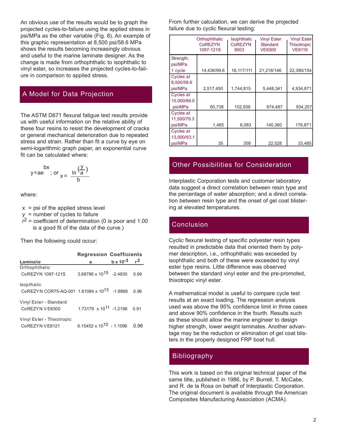An obvious use of the results would be to graph the projected cycles-to-failure using the applied stress in psi/MPa as the other variable (Fig. 8). An example of this graphic representation at 8,500 psi/58.6 MPa shows the results becoming increasingly obvious and useful to the marine laminate designer. As the change is made from orthophthalic to isophthalic to vinyl ester, so increases the projected cycles-to-failure in comparison to applied stress.

# A Model for Data Projection

The ASTM D671 flexural fatigue test results provide us with useful information on the relative ability of these four resins to resist the development of cracks or general mechanical deterioration due to repeated stress and strain. Rather than fit a curve by eye on semi-logarithmic graph paper, an exponential curve fit can be calculated where:

$$
y = ae \quad \text{or} \quad \frac{\ln(\frac{y}{a})}{b}
$$

where:

- $x = \text{psi}$  of the applied stress level
- y = number of cycles to failure
- $r^2$  = coefficient of determination (0 is poor and 1.00 is a good fit of the data of the curve.)

Then the following could occur:

|                                                         | <b>Regression Coefficients</b>      |                                   |      |
|---------------------------------------------------------|-------------------------------------|-----------------------------------|------|
| Laminate                                                | a                                   | $b \times 10^{-3}$ r <sup>2</sup> |      |
| Orthophthalic                                           |                                     |                                   |      |
| CoREZYN 1097-121S                                       | $3.68796 \times 10^{15}$ -2.4830    |                                   | 0.99 |
| Isopthalic                                              |                                     |                                   |      |
| CoREZYN COR75-AQ-001 1.61084 x 10 <sup>13</sup> -1.8868 |                                     |                                   | 0.96 |
| Vinyl Ester - Standard                                  |                                     |                                   |      |
| CoREZYN VE8300                                          | 1.73179 x 10 <sup>11</sup> -1.2196  |                                   | 0.91 |
| Vinyl Ester - Thixotropic                               |                                     |                                   |      |
| CoREZYN VE8121                                          | 6.15452 x 10 <sup>10</sup> - 1.1096 |                                   | በ 96 |

From further calculation, we can derive the projected failure due to cyclic flexural testing:

|                  | Orthophthalic<br><b>CoREZYN</b><br>1097-121S | <b>Isophthalic</b><br><b>CoREZYN</b><br>9503 | Vinyl Ester<br><b>Standard</b><br><b>VE8300</b> | <b>Vinyl Ester</b><br><b>Thixotropic</b><br><b>VE8119</b> |
|------------------|----------------------------------------------|----------------------------------------------|-------------------------------------------------|-----------------------------------------------------------|
| Strength,        |                                              |                                              |                                                 |                                                           |
| psi/MPa          |                                              |                                              |                                                 |                                                           |
| 1 cycle          | 14,436/99.6                                  | 16,117/111                                   | 21,218/146                                      | 22,390/154                                                |
| <b>Cycles at</b> |                                              |                                              |                                                 |                                                           |
| 8,500/58.6       |                                              |                                              |                                                 |                                                           |
| psi/MPa          | 2,517,450                                    | 1,744,815                                    | 5,448,341                                       | 4,934,871                                                 |
| Cycles at        |                                              |                                              |                                                 |                                                           |
| 10,000/69.0      |                                              |                                              |                                                 |                                                           |
| psi/MPa          | 60,738                                       | 102,939                                      | 874,487                                         | 934,257                                                   |
| <b>Cycles at</b> |                                              |                                              |                                                 |                                                           |
| 11.500/79.3      |                                              |                                              |                                                 |                                                           |
| psi/MPa          | 1,465                                        | 6,083                                        | 140,360                                         | 176,871                                                   |
| Cycles at        |                                              |                                              |                                                 |                                                           |
| 13,000/93.1      |                                              |                                              |                                                 |                                                           |
| psi/MPa          | 35                                           | 358                                          | 22,528                                          | 33,485                                                    |

# Other Possibilities for Consideration

Interplastic Corporation tests and customer laboratory data suggest a direct correlation between resin type and the percentage of water absorption; and a direct correlation between resin type and the onset of gel coat blistering at elevated temperatures.

# Conclusion

Cyclic flexural testing of specific polyester resin types resulted in predictable data that oriented them by polymer description, i.e., orthophthalic was exceeded by isophthalic and both of these were exceeded by vinyl ester type resins. Little difference was observed between the standard vinyl ester and the pre-promoted, thixotropic vinyl ester.

A mathematical model is useful to compare cycle test results at an exact loading. The regression analysis used was above the 95% confidence limit in three cases and above 90% confidence in the fourth. Results such as these should allow the marine engineer to design higher strength, lower weight laminates. Another advantage may be the reduction or elimination of gel coat blisters in the properly designed FRP boat hull.

# Bibliography

This work is based on the original technical paper of the same title, published in 1986, by P. Burrell, T. McCabe, and R. de la Rosa on behalf of Interplastic Corporation. The original document is available through the American Composites Manufacturing Association (ACMA).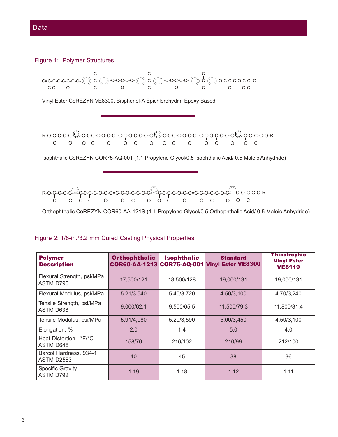#### Figure 1: Polymer Structures



# Figure 2: 1/8-in./3.2 mm Cured Casting Physical Properties

| <b>Polymer</b><br><b>Description</b>        | <b>Orthophthalic</b><br>COR60-AA-1213 COR75-AQ-001 | <b>Isophthalic</b> | <b>Standard</b><br><b>Vinyl Ester VE8300</b> | <b>Thixotrophic</b><br><b>Vinyl Ester</b><br><b>VE8119</b> |
|---------------------------------------------|----------------------------------------------------|--------------------|----------------------------------------------|------------------------------------------------------------|
| Flexural Strength, psi/MPa<br>ASTM D790     | 17,500/121                                         | 18,500/128         | 19,000/131                                   | 19,000/131                                                 |
| Flexural Modulus, psi/MPa                   | 5.21/3,540                                         | 5.40/3,720         | 4.50/3,100                                   | 4.70/3,240                                                 |
| Tensile Strength, psi/MPa<br>ASTM D638      | 9,000/62.1                                         | 9,500/65.5         | 11,500/79.3                                  | 11,800/81.4                                                |
| Tensile Modulus, psi/MPa                    | 5.91/4,080                                         | 5.20/3,590         | 5.00/3,450                                   | 4.50/3,100                                                 |
| Elongation, %                               | 2.0                                                | 1.4                | 5.0                                          | 4.0                                                        |
| Heat Distortion, °F/°C<br>ASTM D648         | 158/70                                             | 216/102            | 210/99                                       | 212/100                                                    |
| Barcol Hardness, 934-1<br><b>ASTM D2583</b> | 40                                                 | 45                 | 38                                           | 36                                                         |
| <b>Specific Gravity</b><br>ASTM D792        | 1.19                                               | 1.18               | 1.12                                         | 1.11                                                       |

#### Data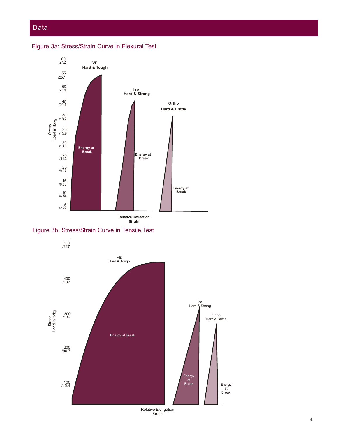# Data

Figure 3a: Stress/Strain Curve in Flexural Test



Figure 3b: Stress/Strain Curve in Tensile Test



Relative Elongation Strain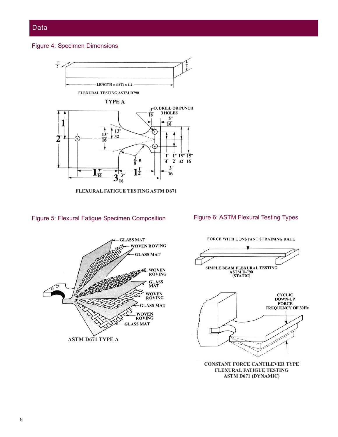# Data

#### Figure 4: Specimen Dimensions



**FLEXURAL FATIGUE TESTING ASTM D671**

#### Figure 5: Flexural Fatigue Specimen Composition







**CONSTANT FORCE CANTILEVER TYPE FLEXURAL FATIGUE TESTING ASTM D671 (DYNAMIC)**

#### 5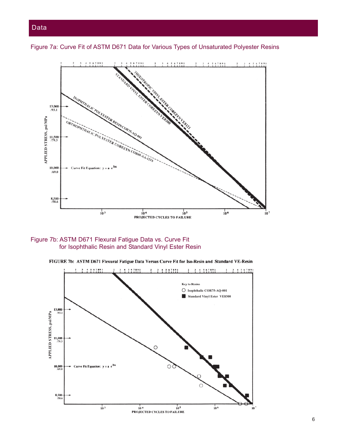

Figure 7a: Curve Fit of ASTM D671 Data for Various Types of Unsaturated Polyester Resins

#### Figure 7b: ASTM D671 Flexural Fatigue Data vs. Curve Fit for Isophthalic Resin and Standard Vinyl Ester Resin



FIGURE 7b: ASTM D671 Flexural Fatigue Data Versus Curve Fit for Iso-Resin and Standard VE-Resin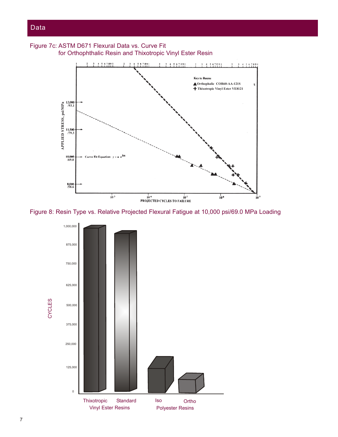



Figure 8: Resin Type vs. Relative Projected Flexural Fatigue at 10,000 psi/69.0 MPa Loading